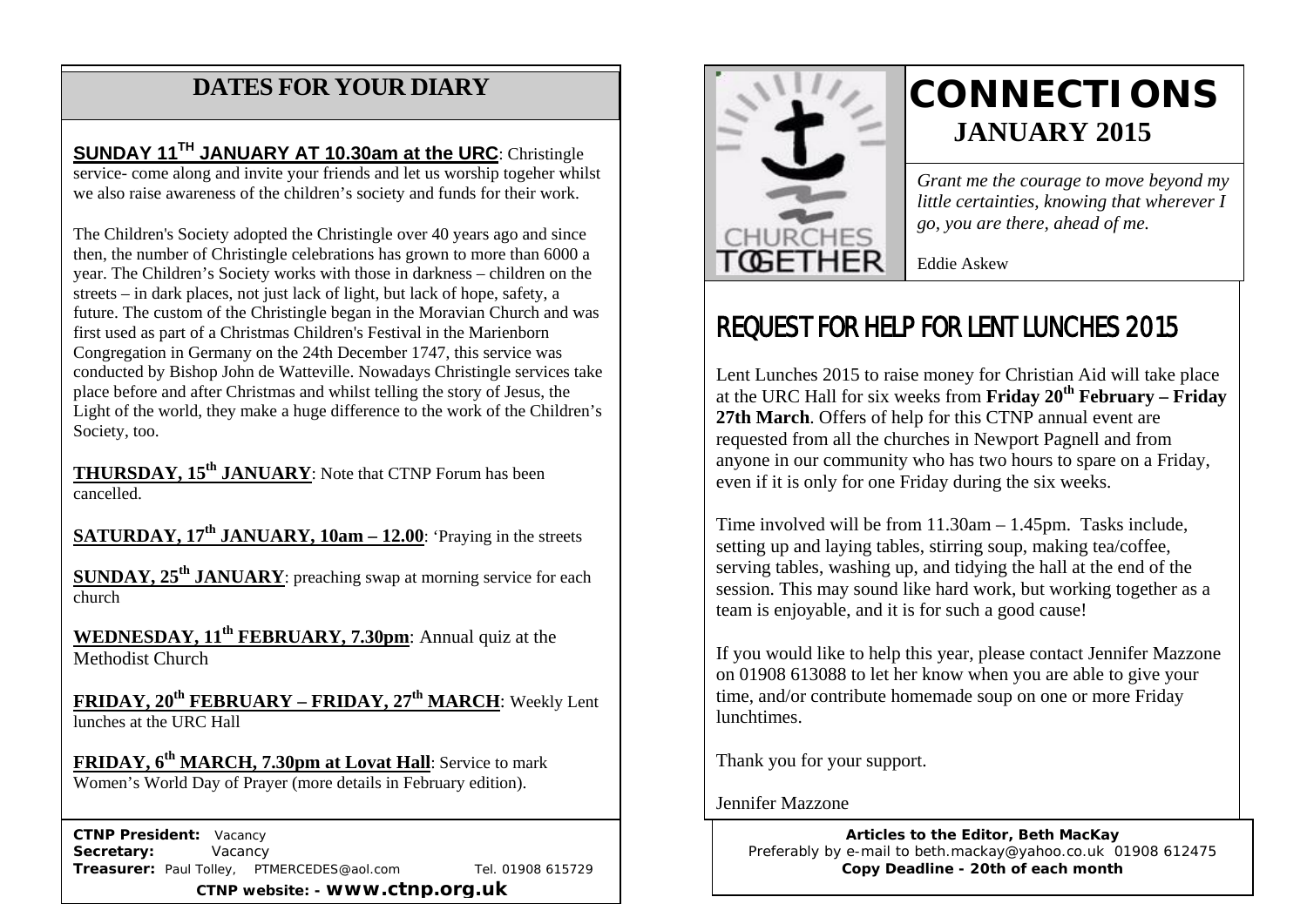## **DATES FOR YOUR DIARY**

 we also raise awareness of the children's society and funds for their work. **SUNDAY 11TH JANUARY AT 10.30am at the URC**: Christingle service- come along and invite your friends and let us worship togeher whilst

 The Children's Society adopted the Christingle over 40 years ago and since then, the number of Christingle celebrations has grown to more than 6000 a year. The Children's Society works with those in darkness – children on the streets – in dark places, not just lack of light, but lack of hope, safety, a future. The custom of the Christingle began in the Moravian Church and was first used as part of a Christmas Children's Festival in the Marienborn Congregation in Germany on the 24th December 1747, this service was conducted by Bishop John de Watteville. Nowadays Christingle services take place before and after Christmas and whilst telling the story of Jesus, the Light of the world, they make a huge difference to the work of the Children's Society, too.

**THURSDAY, 15th JANUARY**: Note that CTNP Forum has been cancelled.

**SATURDAY, 17th JANUARY, 10am – 12.00**: 'Praying in the streets

**SUNDAY, 25<sup>th</sup> JANUARY**: preaching swap at morning service for each church

**WEDNESDAY, 11<sup>th</sup> FEBRUARY, 7.30pm:** Annual quiz at the Methodist Church

**FRIDAY, 20th FEBRUARY – FRIDAY, 27th MARCH**: Weekly Lent lunches at the URC Hall

FRIDAY, 6<sup>th</sup> MARCH, 7.30pm at Lovat Hall: Service to mark Women's World Day of Prayer (more details in February edition).

 **CTNP President:** Vacancy Secretary: **Vacancy Treasurer:** Paul Tolley, PTMERCEDES@aol.com Tel. 01908 615729 **CTNP website: - www.ctnp.org.uk**



# **CONNECTIONS JANUARY 2015**

*Grant me the courage to move beyond my little certainties, knowing that wherever I go, you are there, ahead of me.*

Eddie Askew

## REQUEST FOR HELP FOR LENT LUNCHES 2015

Lent Lunches 2015 to raise money for Christian Aid will take place at the URC Hall for six weeks from **Friday 20th February – Friday 27th March**. Offers of help for this CTNP annual event are requested from all the churches in Newport Pagnell and from anyone in our community who has two hours to spare on a Friday, even if it is only for one Friday during the six weeks.

Time involved will be from 11.30am – 1.45pm. Tasks include, setting up and laying tables, stirring soup, making tea/coffee, serving tables, washing up, and tidying the hall at the end of the session. This may sound like hard work, but working together as a team is enjoyable, and it is for such a good cause!

If you would like to help this year, please contact Jennifer Mazzone on 01908 613088 to let her know when you are able to give your time, and/or contribute homemade soup on one or more Friday lunchtimes.

Thank you for your support.

Jennifer Mazzone

**Articles to the Editor, Beth MacKay** Preferably by e-mail to beth.mackay@yahoo.co.uk 01908 612475 **Copy Deadline - 20th of each month**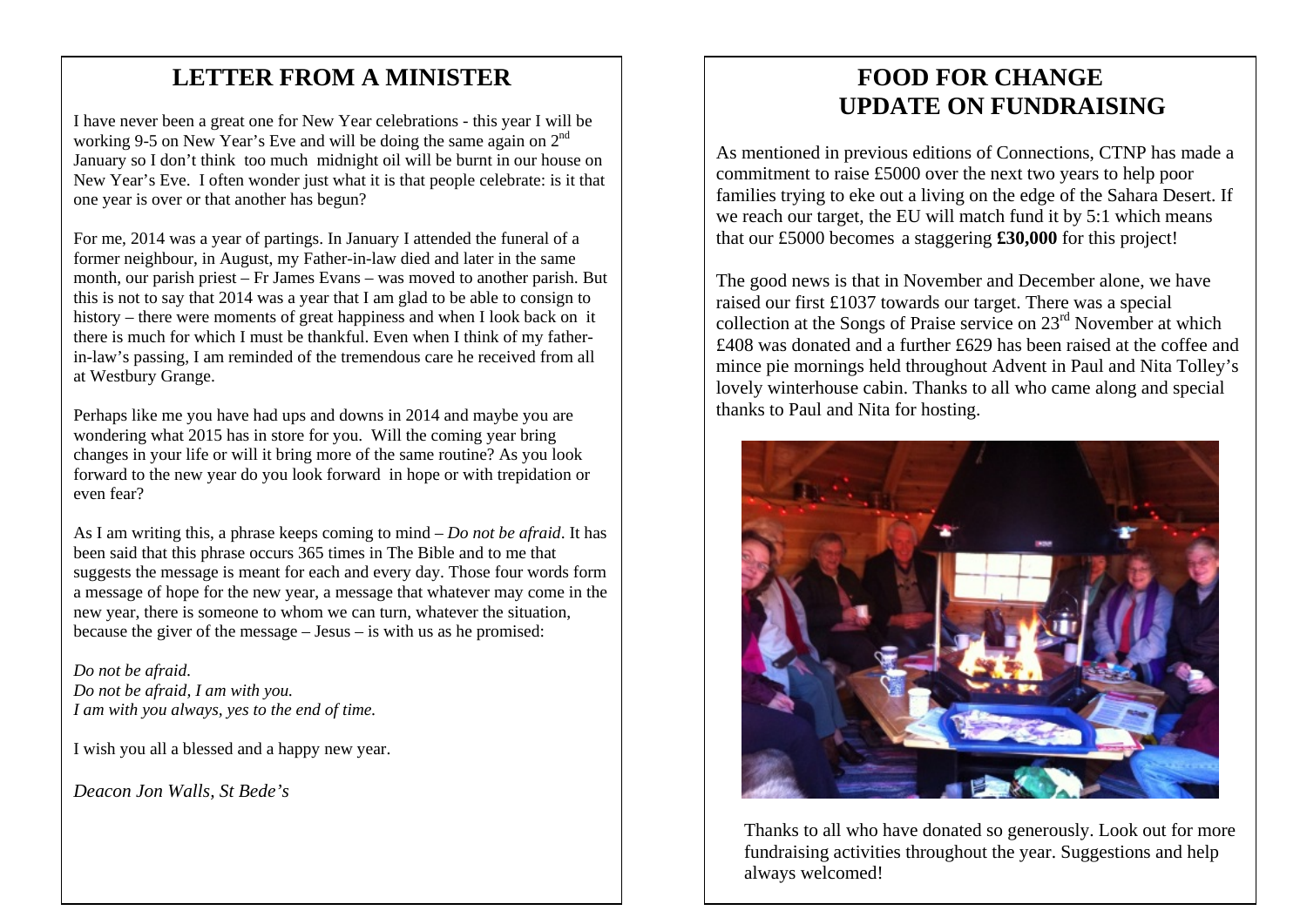## mee **LETTER FROM A MINISTER**

I have never been a great one for New Year celebrations - this year I will be working 9-5 on New Year's Eve and will be doing the same again on 2<sup>nd</sup> January so I don't think too much midnight oil will be burnt in our house on New Year's Eve. I often wonder just what it is that people celebrate: is it that one year is over or that another has begun?

For me, 2014 was a year of partings. In January I attended the funeral of a former neighbour, in August, my Father-in-law died and later in the same month, our parish priest – Fr James Evans – was moved to another parish. But this is not to say that 2014 was a year that I am glad to be able to consign to history – there were moments of great happiness and when I look back on it there is much for which I must be thankful. Even when I think of my fatherin-law's passing, I am reminded of the tremendous care he received from all at Westbury Grange.

Perhaps like me you have had ups and downs in 2014 and maybe you are wondering what 2015 has in store for you. Will the coming year bring changes in your life or will it bring more of the same routine? As you look forward to the new year do you look forward in hope or with trepidation or even fear?

As I am writing this, a phrase keeps coming to mind – *Do not be afraid*. It has been said that this phrase occurs 365 times in The Bible and to me that suggests the message is meant for each and every day. Those four words form a message of hope for the new year, a message that whatever may come in the new year, there is someone to whom we can turn, whatever the situation, because the giver of the message – Jesus – is with us as he promised:

*Do not be afraid. Do not be afraid, I am with you. I am with you always, yes to the end of time.*

I wish you all a blessed and a happy new year.

*Deacon Jon Walls, St Bede's*

## **FOOD FOR CHANGE UPDATE ON FUNDRAISING**

As mentioned in previous editions of Connections, CTNP has made a commitment to raise £5000 over the next two years to help poor families trying to eke out a living on the edge of the Sahara Desert. If we reach our target, the EU will match fund it by 5:1 which means that our £5000 becomes a staggering **£30,000** for this project!

The good news is that in November and December alone, we have raised our first £1037 towards our target. There was a special collection at the Songs of Praise service on 23<sup>rd</sup> November at which £408 was donated and a further £629 has been raised at the coffee and mince pie mornings held throughout Advent in Paul and Nita Tolley's lovely winterhouse cabin. Thanks to all who came along and special thanks to Paul and Nita for hosting.



Thanks to all who have donated so generously. Look out for more fundraising activities throughout the year. Suggestions and help always welcomed!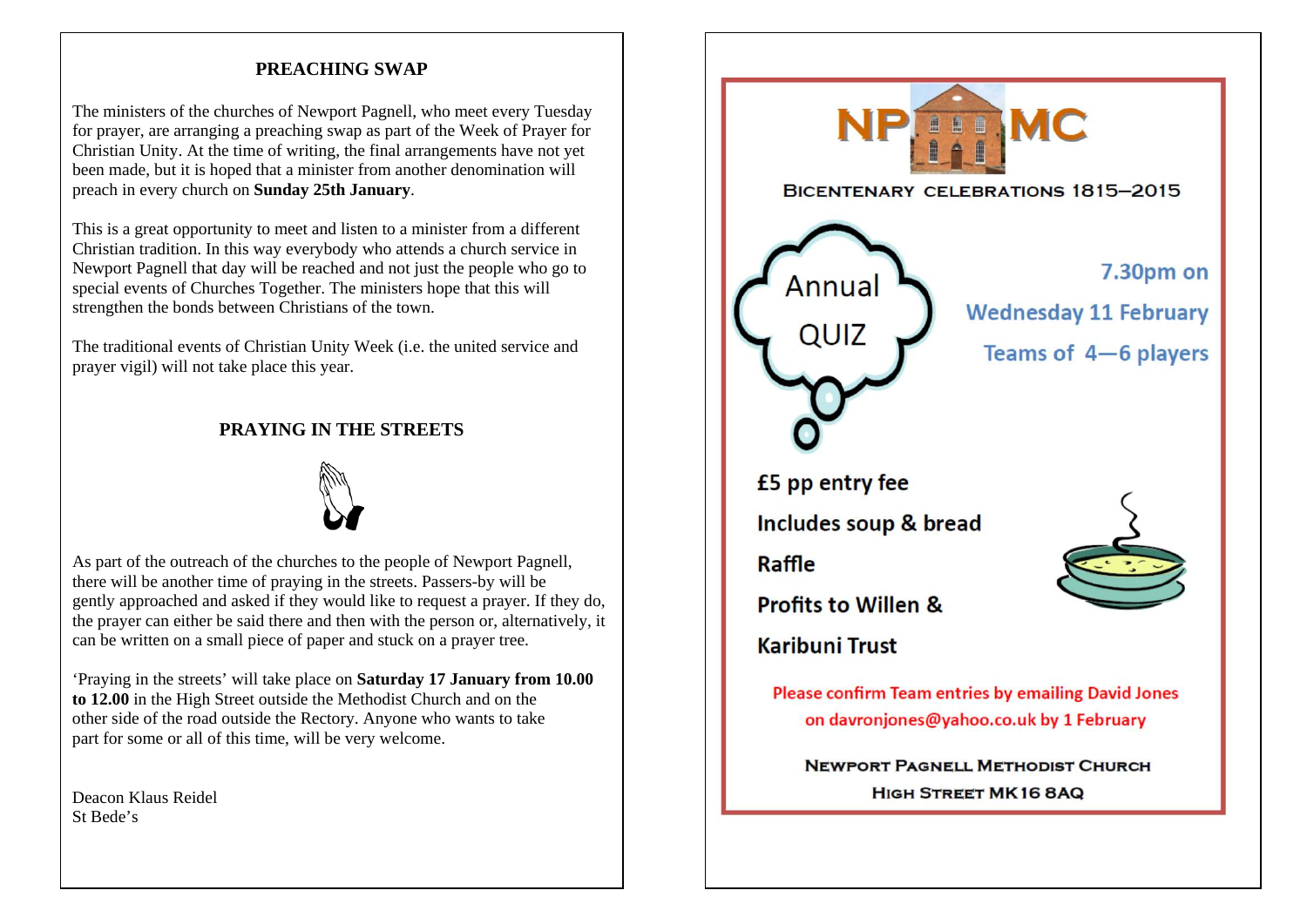#### **PREACHING SWAP**

The ministers of the churches of Newport Pagnell, who meet every Tuesday for prayer, are arranging a preaching swap as part of the Week of Prayer for Christian Unity. At the time of writing, the final arrangements have not yet been made, but it is hoped that a minister from another denomination will preach in every church on **Sunday 25th January**.

This is a great opportunity to meet and listen to a minister from a different Christian tradition. In this way everybody who attends a church service in Newport Pagnell that day will be reached and not just the people who go to special events of Churches Together. The ministers hope that this will strengthen the bonds between Christians of the town.

The traditional events of Christian Unity Week (i.e. the united service and prayer vigil) will not take place this year.

#### **PRAYING IN THE STREETS**



As part of the outreach of the churches to the people of Newport Pagnell, there will be another time of praying in the streets. Passers-by will be gently approached and asked if they would like to request a prayer. If they do, the prayer can either be said there and then with the person or, alternatively, it can be written on a small piece of paper and stuck on a prayer tree.

'Praying in the streets' will take place on **Saturday 17 January from 10.00 to 12.00** in the High Street outside the Methodist Church and on the other side of the road outside the Rectory. Anyone who wants to take part for some or all of this time, will be very welcome.

Deacon Klaus Reidel St Bede's